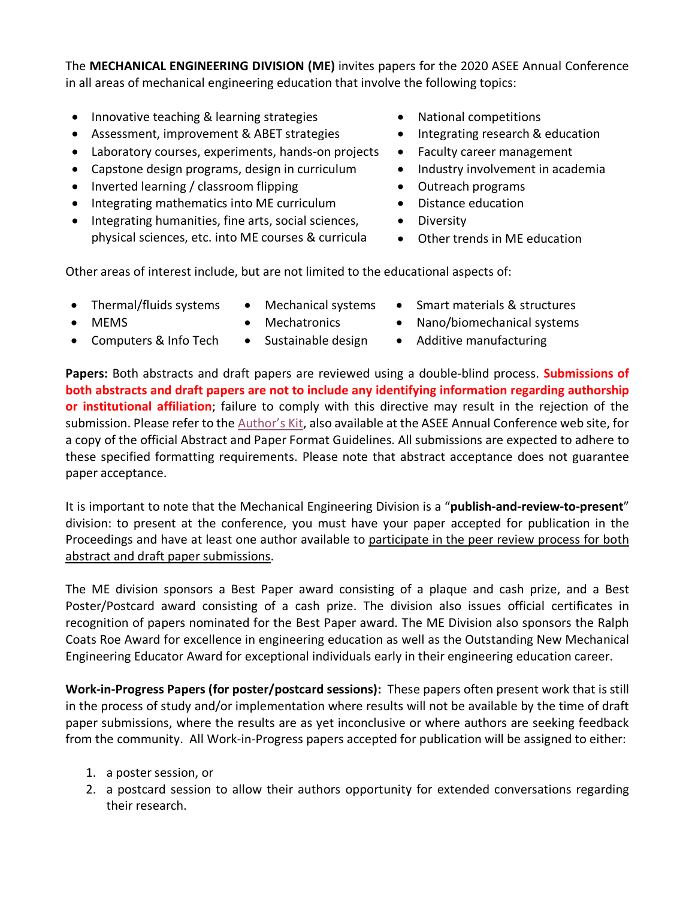The **MECHANICAL ENGINEERING DIVISION (ME)** invites papers for the 2020 ASEE Annual Conference in all areas of mechanical engineering education that involve the following topics:

- Innovative teaching & learning strategies National competitions
- Assessment, improvement & ABET strategies Integrating research & education
- Laboratory courses, experiments, hands-on projects Faculty career management
- Capstone design programs, design in curriculum Industry involvement in academia
- Inverted learning / classroom flipping  $\bullet$  Outreach programs
- Integrating mathematics into ME curriculum Distance education
- Integrating humanities, fine arts, social sciences, •• Diversity physical sciences, etc. into ME courses & curricula • Other trends in ME education
- 
- 
- 
- 
- 
- -
	-

Other areas of interest include, but are not limited to the educational aspects of:

- 
- 

- 
- Thermal/fluids systems Mechanical systems Smart materials & structures
- MEMS Mechatronics Nano/biomechanical systems
- 
- 
- Computers & Info Tech Sustainable design Additive manufacturing

**Papers:** Both abstracts and draft papers are reviewed using a double-blind process. **Submissions of both abstracts and draft papers are not to include any identifying information regarding authorship or institutional affiliation**; failure to comply with this directive may result in the rejection of the submission. Please refer to the Author's Kit, also available at the ASEE Annual Conference web site, for a copy of the official Abstract and Paper Format Guidelines. All submissions are expected to adhere to these specified formatting requirements. Please note that abstract acceptance does not guarantee paper acceptance.

It is important to note that the Mechanical Engineering Division is a "**publish-and-review-to-present**" division: to present at the conference, you must have your paper accepted for publication in the Proceedings and have at least one author available to participate in the peer review process for both abstract and draft paper submissions.

The ME division sponsors a Best Paper award consisting of a plaque and cash prize, and a Best Poster/Postcard award consisting of a cash prize. The division also issues official certificates in recognition of papers nominated for the Best Paper award. The ME Division also sponsors the Ralph Coats Roe Award for excellence in engineering education as well as the Outstanding New Mechanical Engineering Educator Award for exceptional individuals early in their engineering education career.

**Work-in-Progress Papers (for poster/postcard sessions):** These papers often present work that is still in the process of study and/or implementation where results will not be available by the time of draft paper submissions, where the results are as yet inconclusive or where authors are seeking feedback from the community. All Work-in-Progress papers accepted for publication will be assigned to either:

- 1. a poster session, or
- 2. a postcard session to allow their authors opportunity for extended conversations regarding their research.